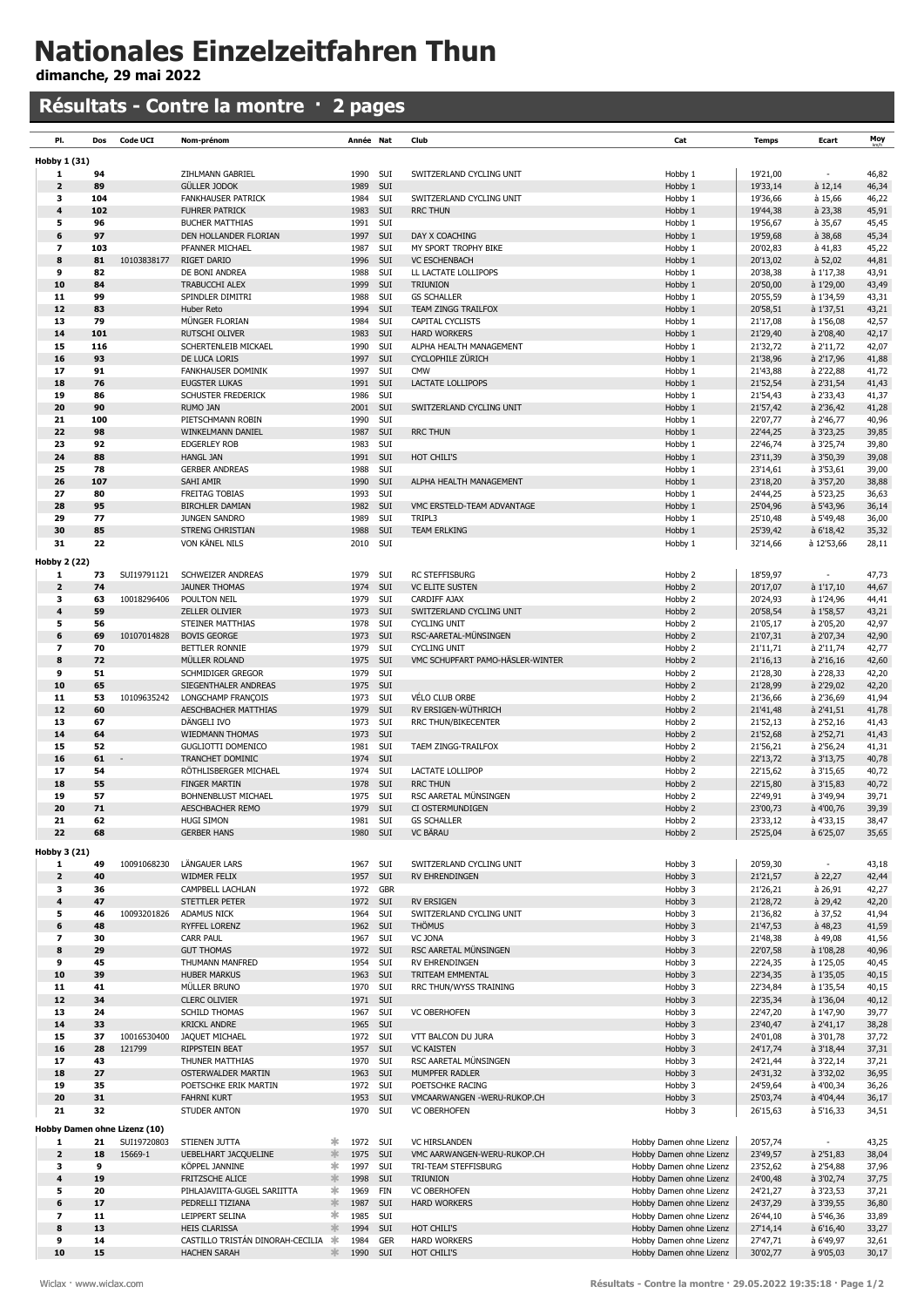## Nationales Einzelzeitfahren Thun

dimanche, 29 mai 2022

## Résultats - Contre la montre · 2 pages

| PI.                                 | Dos       | <b>Code UCI</b>              | Nom-prénom                                    |                    |              | Année Nat            | Club                                       | Cat                                                | <b>Temps</b>         | Ecart                                 | Moy            |
|-------------------------------------|-----------|------------------------------|-----------------------------------------------|--------------------|--------------|----------------------|--------------------------------------------|----------------------------------------------------|----------------------|---------------------------------------|----------------|
|                                     |           |                              |                                               |                    |              |                      |                                            |                                                    |                      |                                       |                |
| Hobby 1 (31)<br>1                   | 94        |                              | ZIHLMANN GABRIEL                              |                    | 1990         | SUI                  | SWITZERLAND CYCLING UNIT                   | Hobby 1                                            | 19'21,00             |                                       | 46,82          |
| $\overline{\mathbf{z}}$             | 89        |                              | <b>GÜLLER JODOK</b>                           |                    | 1989         | SUI                  |                                            | Hobby 1                                            | 19'33,14             | à 12,14                               | 46,34          |
| з                                   | 104       |                              | <b>FANKHAUSER PATRICK</b>                     |                    | 1984         | SUI                  | SWITZERLAND CYCLING UNIT                   | Hobby 1                                            | 19'36,66             | à 15,66                               | 46,22          |
| 4                                   | 102       |                              | <b>FUHRER PATRICK</b>                         |                    | 1983         | SUI                  | <b>RRC THUN</b>                            | Hobby 1                                            | 19'44,38             | à 23,38                               | 45,91          |
| 5                                   | 96        |                              | <b>BUCHER MATTHIAS</b>                        |                    | 1991         | SUI                  | DAY X COACHING                             | Hobby 1                                            | 19'56,67             | à 35,67                               | 45,45          |
| 6<br>$\overline{\mathbf{z}}$        | 97<br>103 |                              | DEN HOLLANDER FLORIAN<br>PFANNER MICHAEL      |                    | 1997<br>1987 | SUI<br>SUI           | MY SPORT TROPHY BIKE                       | Hobby 1                                            | 19'59,68<br>20'02,83 | à 38,68<br>à 41,83                    | 45,34<br>45,22 |
| 8                                   | 81        | 10103838177                  | RIGET DARIO                                   |                    | 1996         | SUI                  | <b>VC ESCHENBACH</b>                       | Hobby 1<br>Hobby 1                                 | 20'13,02             | $a$ 52,02                             | 44,81          |
| 9                                   | 82        |                              | DE BONI ANDREA                                |                    | 1988         | SUI                  | LL LACTATE LOLLIPOPS                       | Hobby 1                                            | 20'38,38             | à 1'17,38                             | 43,91          |
| 10                                  | 84        |                              | TRABUCCHI ALEX                                |                    | 1999         | SUI                  | <b>TRIUNION</b>                            | Hobby 1                                            | 20'50,00             | à 1'29,00                             | 43,49          |
| 11                                  | 99        |                              | SPINDLER DIMITRI                              | 1988               |              | SUI                  | <b>GS SCHALLER</b>                         | Hobby 1                                            | 20'55,59             | à 1'34,59                             | 43,31          |
| 12                                  | 83        |                              | Huber Reto                                    |                    | 1994         | SUI                  | TEAM ZINGG TRAILFOX                        | Hobby 1                                            | 20'58,51             | à 1'37,51                             | 43,21          |
| 13<br>14                            | 79<br>101 |                              | MÜNGER FLORIAN<br><b>RUTSCHI OLIVER</b>       |                    | 1984<br>1983 | SUI<br>SUI           | CAPITAL CYCLISTS<br><b>HARD WORKERS</b>    | Hobby 1<br>Hobby 1                                 | 21'17,08<br>21'29,40 | à 1'56,08<br>à 2'08,40                | 42,57<br>42,17 |
| 15                                  | 116       |                              | SCHERTENLEIB MICKAEL                          |                    | 1990         | SUI                  | ALPHA HEALTH MANAGEMENT                    | Hobby 1                                            | 21'32,72             | à 2'11,72                             | 42,07          |
| 16                                  | 93        |                              | DE LUCA LORIS                                 |                    | 1997         | SUI                  | CYCLOPHILE ZÜRICH                          | Hobby 1                                            | 21'38,96             | à 2'17,96                             | 41,88          |
| 17                                  | 91        |                              | <b>FANKHAUSER DOMINIK</b>                     |                    | 1997         | SUI                  | <b>CMW</b>                                 | Hobby 1                                            | 21'43,88             | à 2'22,88                             | 41,72          |
| 18                                  | 76        |                              | <b>EUGSTER LUKAS</b>                          |                    | 1991         | SUI                  | <b>LACTATE LOLLIPOPS</b>                   | Hobby 1                                            | 21'52,54             | à 2'31,54                             | 41,43          |
| 19                                  | 86        |                              | SCHUSTER FREDERICK                            |                    | 1986         | SUI                  |                                            | Hobby 1                                            | 21'54,43             | à 2'33,43                             | 41,37          |
| 20                                  | 90        |                              | <b>RUMO JAN</b>                               |                    | 2001         | SUI                  | SWITZERLAND CYCLING UNIT                   | Hobby 1                                            | 21'57,42             | à 2'36,42                             | 41,28          |
| 21<br>22                            | 100<br>98 |                              | PIETSCHMANN ROBIN<br>WINKELMANN DANIEL        |                    | 1990<br>1987 | SUI<br>SUI           | <b>RRC THUN</b>                            | Hobby 1<br>Hobby 1                                 | 22'07,77<br>22'44,25 | à 2'46,77<br>à 3'23,25                | 40,96<br>39,85 |
| 23                                  | 92        |                              | <b>EDGERLEY ROB</b>                           |                    | 1983         | SUI                  |                                            | Hobby 1                                            | 22'46,74             | à 3'25,74                             | 39,80          |
| 24                                  | 88        |                              | <b>HANGL JAN</b>                              |                    | 1991         | SUI                  | HOT CHILI'S                                | Hobby 1                                            | 23'11,39             | à 3'50,39                             | 39,08          |
| 25                                  | 78        |                              | <b>GERBER ANDREAS</b>                         |                    | 1988         | SUI                  |                                            | Hobby 1                                            | 23'14,61             | à 3'53,61                             | 39,00          |
| 26                                  | 107       |                              | SAHI AMIR                                     |                    | 1990         | SUI                  | ALPHA HEALTH MANAGEMENT                    | Hobby 1                                            | 23'18,20             | à 3'57,20                             | 38,88          |
| 27                                  | 80        |                              | <b>FREITAG TOBIAS</b>                         |                    | 1993         | SUI                  |                                            | Hobby 1                                            | 24'44,25             | à 5'23,25                             | 36,63          |
| 28                                  | 95        |                              | <b>BIRCHLER DAMIAN</b>                        |                    |              | 1982 SUI             | VMC ERSTELD-TEAM ADVANTAGE                 | Hobby 1                                            | 25'04,96             | à 5'43,96                             | 36,14          |
| 29<br>30                            | 77<br>85  |                              | JUNGEN SANDRO<br>STRENG CHRISTIAN             |                    | 1989<br>1988 | SUI<br>SUI           | TRIPL3<br><b>TEAM ERLKING</b>              | Hobby 1                                            | 25'10,48<br>25'39,42 | à 5'49,48                             | 36,00<br>35,32 |
| 31                                  | 22        |                              | VON KÄNEL NILS                                |                    | 2010         | SUI                  |                                            | Hobby 1<br>Hobby 1                                 | 32'14,66             | a 6'18,42<br>à 12'53,66               | 28,11          |
|                                     |           |                              |                                               |                    |              |                      |                                            |                                                    |                      |                                       |                |
| <b>Hobby 2 (22)</b><br>$\mathbf{1}$ | 73        | SUI19791121                  | SCHWEIZER ANDREAS                             |                    | 1979         | SUI                  | <b>RC STEFFISBURG</b>                      | Hobby 2                                            | 18'59,97             |                                       | 47,73          |
| $\overline{\mathbf{z}}$             | 74        |                              | <b>JAUNER THOMAS</b>                          |                    | 1974         | SUI                  | <b>VC ELITE SUSTEN</b>                     | Hobby 2                                            | 20'17,07             | à 1'17,10                             | 44,67          |
| з                                   | 63        | 10018296406                  | POULTON NEIL                                  |                    | 1979         | SUI                  | CARDIFF AJAX                               | Hobby 2                                            | 20'24,93             | à 1'24,96                             | 44,41          |
| 4                                   | 59        |                              | ZELLER OLIVIER                                |                    | 1973         | SUI                  | SWITZERLAND CYCLING UNIT                   | Hobby 2                                            | 20'58,54             | à 1'58,57                             | 43,21          |
| 5                                   | 56        |                              | STEINER MATTHIAS                              |                    | 1978         | SUI                  | <b>CYCLING UNIT</b>                        | Hobby 2                                            | 21'05,17             | à 2'05,20                             | 42,97          |
| 6                                   | 69        | 10107014828                  | <b>BOVIS GEORGE</b>                           |                    | 1973         | SUI                  | RSC-AARETAL-MÜNSINGEN                      | Hobby 2                                            | 21'07,31             | à 2'07,34                             | 42,90          |
| $\overline{z}$<br>8                 | 70<br>72  |                              | BETTLER RONNIE                                |                    | 1979<br>1975 | SUI<br>SUI           | <b>CYCLING UNIT</b>                        | Hobby 2                                            | 21'11,71             | à 2'11,74                             | 42,77          |
| 9                                   | 51        |                              | MÜLLER ROLAND<br>SCHMIDIGER GREGOR            |                    | 1979         | SUI                  | VMC SCHUPFART PAMO-HÄSLER-WINTER           | Hobby 2<br>Hobby 2                                 | 21'16,13<br>21'28,30 | à 2'16,16<br>à 2'28,33                | 42,60<br>42,20 |
| 10                                  | 65        |                              | SIEGENTHALER ANDREAS                          |                    | 1975         | SUI                  |                                            | Hobby 2                                            | 21'28,99             | à 2'29,02                             | 42,20          |
| 11                                  | 53        | 10109635242                  | LONGCHAMP FRANÇOIS                            |                    | 1973         | SUI                  | VÉLO CLUB ORBE                             | Hobby 2                                            | 21'36,66             | à 2'36,69                             | 41,94          |
| 12                                  | 60        |                              | AESCHBACHER MATTHIAS                          |                    | 1979         | SUI                  | RV ERSIGEN-WÜTHRICH                        | Hobby 2                                            | 21'41,48             | à 2'41,51                             | 41,78          |
| 13                                  | 67        |                              | DÄNGELI IVO                                   |                    | 1973         | SUI                  | <b>RRC THUN/BIKECENTER</b>                 | Hobby 2                                            | 21'52,13             | à 2'52,16                             | 41,43          |
| 14                                  | 64        |                              | <b>WIEDMANN THOMAS</b>                        |                    | 1973         | SUI                  |                                            | Hobby 2                                            | 21'52,68             | à 2'52,71                             | 41,43          |
| 15<br>16                            | 52<br>61  |                              | <b>GUGLIOTTI DOMENICO</b><br>TRANCHET DOMINIC |                    | 1981<br>1974 | SUI<br>SUI           | TAEM ZINGG-TRAILFOX                        | Hobby 2<br>Hobby 2                                 | 21'56,21<br>22'13,72 | à 2'56,24<br>à 3'13,75                | 41,31<br>40,78 |
| 17                                  | 54        |                              | RÖTHLISBERGER MICHAEL                         |                    | 1974         | SUI                  | <b>LACTATE LOLLIPOP</b>                    | Hobby 2                                            | 22'15,62             | à 3'15,65                             | 40,72          |
| 18                                  | 55        |                              | <b>FINGER MARTIN</b>                          |                    | 1978         | SUI                  | <b>RRC THUN</b>                            | Hobby 2                                            | 22'15,80             | à 3'15,83                             | 40,72          |
| 19                                  | 57        |                              | <b>BOHNENBLUST MICHAEL</b>                    |                    | 1975         | SUI                  | RSC AARETAL MÜNSINGEN                      | Hobby 2                                            | 22'49,91             | à 3'49,94                             | 39,71          |
| 20                                  | 71        |                              | AESCHBACHER REMO                              |                    | 1979         | SUI                  | CI OSTERMUNDIGEN                           | Hobby 2                                            | 23'00,73             | à 4'00,76                             | 39,39          |
| 21                                  | 62        |                              | HUGI PIMOM                                    |                    |              | 1981 SUI             | <b>GS SCHALLER</b>                         | HODDY 2                                            | 23'33,12             | à 4'33,15                             | 38,47          |
| 22                                  | 68        |                              | <b>GERBER HANS</b>                            |                    |              | 1980 SUI             | VC BÄRAU                                   | Hobby 2                                            | 25'25,04             | à 6'25,07                             | 35,65          |
| Hobby 3 (21)                        |           |                              |                                               |                    |              |                      |                                            |                                                    |                      |                                       |                |
| $\mathbf{1}$<br>$\mathbf{2}$        | 49<br>40  | 10091068230                  | LÄNGAUER LARS<br>WIDMER FELIX                 |                    | 1967<br>1957 | SUI<br>SUI           | SWITZERLAND CYCLING UNIT<br>RV EHRENDINGEN | Hobby 3<br>Hobby 3                                 | 20'59,30<br>21'21,57 | $\overline{\phantom{a}}$<br>$a$ 22,27 | 43,18<br>42,44 |
| 3                                   | 36        |                              | CAMPBELL LACHLAN                              |                    |              | 1972 GBR             |                                            | Hobby 3                                            | 21'26,21             | à 26,91                               | 42,27          |
| 4                                   | 47        |                              | STETTLER PETER                                |                    |              | 1972 SUI             | <b>RV ERSIGEN</b>                          | Hobby 3                                            | 21'28,72             | $a$ 29,42                             | 42,20          |
| 5                                   | 46        | 10093201826                  | ADAMUS NICK                                   |                    |              | 1964 SUI             | SWITZERLAND CYCLING UNIT                   | Hobby 3                                            | 21'36,82             | à 37,52                               | 41,94          |
| 6                                   | 48        |                              | RYFFEL LORENZ                                 |                    |              | 1962 SUI             | <b>THÖMUS</b>                              | Hobby 3                                            | 21'47,53             | $a$ 48,23                             | 41,59          |
| $\overline{\phantom{a}}$            | 30        |                              | <b>CARR PAUL</b>                              |                    |              | 1967 SUI             | VC JONA                                    | Hobby 3                                            | 21'48,38             | à 49,08                               | 41,56          |
| 8<br>9                              | 29<br>45  |                              | <b>GUT THOMAS</b><br>THUMANN MANFRED          |                    |              | 1972 SUI<br>1954 SUI | RSC AARETAL MÜNSINGEN<br>RV EHRENDINGEN    | Hobby 3<br>Hobby 3                                 | 22'07,58<br>22'24,35 | à 1'08,28<br>à 1'25,05                | 40,96<br>40,45 |
| 10                                  | 39        |                              | <b>HUBER MARKUS</b>                           |                    |              | 1963 SUI             | TRITEAM EMMENTAL                           | Hobby 3                                            | 22'34,35             | à 1'35,05                             | 40,15          |
| 11                                  | 41        |                              | MÜLLER BRUNO                                  |                    |              | 1970 SUI             | RRC THUN/WYSS TRAINING                     | Hobby 3                                            | 22'34,84             | à 1'35,54                             | 40,15          |
| 12                                  | 34        |                              | <b>CLERC OLIVIER</b>                          |                    |              | 1971 SUI             |                                            | Hobby 3                                            | 22'35,34             | à 1'36,04                             | 40,12          |
| 13                                  | 24        |                              | SCHILD THOMAS                                 |                    |              | 1967 SUI             | <b>VC OBERHOFEN</b>                        | Hobby 3                                            | 22'47,20             | à 1'47,90                             | 39,77          |
| 14                                  | 33        |                              | <b>KRICKL ANDRE</b>                           |                    |              | 1965 SUI             |                                            | Hobby 3                                            | 23'40,47             | à 2'41,17                             | 38,28          |
| 15<br>16                            | 37<br>28  | 10016530400<br>121799        | JAQUET MICHAEL                                |                    |              | 1972 SUI<br>1957 SUI | VTT BALCON DU JURA                         | Hobby 3                                            | 24'01,08             | à 3'01,78<br>à 3'18,44                | 37,72          |
| 17                                  | 43        |                              | RIPPSTEIN BEAT<br>THUNER MATTHIAS             |                    |              | 1970 SUI             | <b>VC KAISTEN</b><br>RSC AARETAL MÜNSINGEN | Hobby 3<br>Hobby 3                                 | 24'17,74<br>24'21,44 | à 3'22,14                             | 37,31<br>37,21 |
| 18                                  | 27        |                              | OSTERWALDER MARTIN                            |                    |              | 1963 SUI             | MUMPFER RADLER                             | Hobby 3                                            | 24'31,32             | à 3'32,02                             | 36,95          |
| 19                                  | 35        |                              | POETSCHKE ERIK MARTIN                         |                    |              | 1972 SUI             | POETSCHKE RACING                           | Hobby 3                                            | 24'59,64             | à 4'00,34                             | 36,26          |
| 20                                  | 31        |                              | FAHRNI KURT                                   |                    |              | 1953 SUI             | VMCAARWANGEN -WERU-RUKOP.CH                | Hobby 3                                            | 25'03,74             | à 4'04,44                             | 36,17          |
| 21                                  | 32        |                              | STUDER ANTON                                  |                    |              | 1970 SUI             | <b>VC OBERHOFEN</b>                        | Hobby 3                                            | 26'15,63             | à 5'16,33                             | 34,51          |
|                                     |           | Hobby Damen ohne Lizenz (10) |                                               |                    |              |                      |                                            |                                                    |                      |                                       |                |
| 1                                   | 21        | SUI19720803                  | STIENEN JUTTA                                 | ∗                  |              | 1972 SUI             | <b>VC HIRSLANDEN</b>                       | Hobby Damen ohne Lizenz                            | 20'57,74             |                                       | 43,25          |
| $\overline{2}$                      | 18<br>9   | 15669-1                      | UEBELHART JACQUELINE                          | 氺                  |              | 1975 SUI<br>1997 SUI | VMC AARWANGEN-WERU-RUKOP.CH                | Hobby Damen ohne Lizenz                            | 23'49,57             | à 2'51,83                             | 38,04          |
| 3<br>4                              | 19        |                              | KÖPPEL JANNINE<br>FRITZSCHE ALICE             | *<br>$\frac{1}{2}$ | 1998         | SUI                  | TRI-TEAM STEFFISBURG<br><b>TRIUNION</b>    | Hobby Damen ohne Lizenz<br>Hobby Damen ohne Lizenz | 23'52,62<br>24'00,48 | à 2'54,88<br>à 3'02,74                | 37,96<br>37,75 |
| 5                                   | 20        |                              | PIHLAJAVIITA-GUGEL SARIITTA                   | ∗                  |              | 1969 FIN             | <b>VC OBERHOFEN</b>                        | Hobby Damen ohne Lizenz                            | 24'21,27             | à 3'23,53                             | 37,21          |
| 6                                   | 17        |                              | PEDRELLI TIZIANA                              | $\ast$             | 1987         | SUI                  | <b>HARD WORKERS</b>                        | Hobby Damen ohne Lizenz                            | 24'37,29             | à 3'39,55                             | 36,80          |
| $\overline{\mathbf{z}}$             | 11        |                              | LEIPPERT SELINA                               | *                  |              | 1985 SUI             |                                            | Hobby Damen ohne Lizenz                            | 26'44,10             | à 5'46,36                             | 33,89          |
| 8                                   | 13        |                              | <b>HEIS CLARISSA</b>                          | 氺                  | 1994         | SUI                  | HOT CHILI'S                                | Hobby Damen ohne Lizenz                            | 27'14,14             | à 6'16,40                             | 33,27          |
| 9                                   | 14        |                              | CASTILLO TRISTÁN DINORAH-CECILIA              | 氺                  |              | 1984 GER             | HARD WORKERS                               | Hobby Damen ohne Lizenz                            | 27'47,71             | à 6'49,97                             | 32,61          |
| 10                                  | 15        |                              | <b>HACHEN SARAH</b>                           | 氺                  |              | 1990 SUI             | HOT CHILI'S                                | Hobby Damen ohne Lizenz                            | 30'02,77             | à 9'05,03                             | 30,17          |